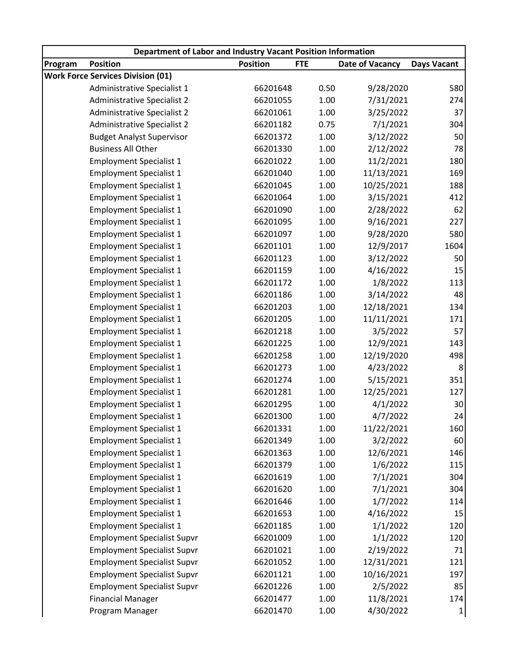| Department of Labor and Industry Vacant Position Information |                                          |                 |            |                 |                    |  |  |
|--------------------------------------------------------------|------------------------------------------|-----------------|------------|-----------------|--------------------|--|--|
| Program                                                      | <b>Position</b>                          | <b>Position</b> | <b>FTE</b> | Date of Vacancy | <b>Days Vacant</b> |  |  |
|                                                              | <b>Work Force Services Division (01)</b> |                 |            |                 |                    |  |  |
|                                                              | Administrative Specialist 1              | 66201648        | 0.50       | 9/28/2020       | 580                |  |  |
|                                                              | Administrative Specialist 2              | 66201055        | 1.00       | 7/31/2021       | 274                |  |  |
|                                                              | Administrative Specialist 2              | 66201061        | 1.00       | 3/25/2022       | 37                 |  |  |
|                                                              | Administrative Specialist 2              | 66201182        | 0.75       | 7/1/2021        | 304                |  |  |
|                                                              | <b>Budget Analyst Supervisor</b>         | 66201372        | 1.00       | 3/12/2022       | 50                 |  |  |
|                                                              | <b>Business All Other</b>                | 66201330        | 1.00       | 2/12/2022       | 78                 |  |  |
|                                                              | <b>Employment Specialist 1</b>           | 66201022        | 1.00       | 11/2/2021       | 180                |  |  |
|                                                              | <b>Employment Specialist 1</b>           | 66201040        | 1.00       | 11/13/2021      | 169                |  |  |
|                                                              | <b>Employment Specialist 1</b>           | 66201045        | 1.00       | 10/25/2021      | 188                |  |  |
|                                                              | <b>Employment Specialist 1</b>           | 66201064        | 1.00       | 3/15/2021       | 412                |  |  |
|                                                              | <b>Employment Specialist 1</b>           | 66201090        | 1.00       | 2/28/2022       | 62                 |  |  |
|                                                              | <b>Employment Specialist 1</b>           | 66201095        | 1.00       | 9/16/2021       | 227                |  |  |
|                                                              | <b>Employment Specialist 1</b>           | 66201097        | 1.00       | 9/28/2020       | 580                |  |  |
|                                                              | <b>Employment Specialist 1</b>           | 66201101        | 1.00       | 12/9/2017       | 1604               |  |  |
|                                                              | <b>Employment Specialist 1</b>           | 66201123        | 1.00       | 3/12/2022       | 50                 |  |  |
|                                                              | <b>Employment Specialist 1</b>           | 66201159        | 1.00       | 4/16/2022       | 15                 |  |  |
|                                                              | <b>Employment Specialist 1</b>           | 66201172        | 1.00       | 1/8/2022        | 113                |  |  |
|                                                              | <b>Employment Specialist 1</b>           | 66201186        | 1.00       | 3/14/2022       | 48                 |  |  |
|                                                              | <b>Employment Specialist 1</b>           | 66201203        | 1.00       | 12/18/2021      | 134                |  |  |
|                                                              | <b>Employment Specialist 1</b>           | 66201205        | 1.00       | 11/11/2021      | 171                |  |  |
|                                                              | <b>Employment Specialist 1</b>           | 66201218        | 1.00       | 3/5/2022        | 57                 |  |  |
|                                                              | <b>Employment Specialist 1</b>           | 66201225        | 1.00       | 12/9/2021       | 143                |  |  |
|                                                              | <b>Employment Specialist 1</b>           | 66201258        | 1.00       | 12/19/2020      | 498                |  |  |
|                                                              | <b>Employment Specialist 1</b>           | 66201273        | 1.00       | 4/23/2022       | 8                  |  |  |
|                                                              | <b>Employment Specialist 1</b>           | 66201274        | 1.00       | 5/15/2021       | 351                |  |  |
|                                                              | <b>Employment Specialist 1</b>           | 66201281        | 1.00       | 12/25/2021      | 127                |  |  |
|                                                              | <b>Employment Specialist 1</b>           | 66201295        | 1.00       | 4/1/2022        | 30                 |  |  |
|                                                              | <b>Employment Specialist 1</b>           | 66201300        | 1.00       | 4/7/2022        | 24                 |  |  |
|                                                              | <b>Employment Specialist 1</b>           | 66201331        | 1.00       | 11/22/2021      | 160                |  |  |
|                                                              | <b>Employment Specialist 1</b>           | 66201349        | 1.00       | 3/2/2022        | 60                 |  |  |
|                                                              | <b>Employment Specialist 1</b>           | 66201363        | 1.00       | 12/6/2021       | 146                |  |  |
|                                                              | <b>Employment Specialist 1</b>           | 66201379        | 1.00       | 1/6/2022        | 115                |  |  |
|                                                              | <b>Employment Specialist 1</b>           | 66201619        | 1.00       | 7/1/2021        | 304                |  |  |
|                                                              | <b>Employment Specialist 1</b>           | 66201620        | 1.00       | 7/1/2021        | 304                |  |  |
|                                                              | <b>Employment Specialist 1</b>           | 66201646        | 1.00       | 1/7/2022        | 114                |  |  |
|                                                              | <b>Employment Specialist 1</b>           | 66201653        | 1.00       | 4/16/2022       | 15                 |  |  |
|                                                              | <b>Employment Specialist 1</b>           | 66201185        | 1.00       | 1/1/2022        | 120                |  |  |
|                                                              | <b>Employment Specialist Supvr</b>       | 66201009        | 1.00       | 1/1/2022        | 120                |  |  |
|                                                              | <b>Employment Specialist Supvr</b>       | 66201021        | 1.00       | 2/19/2022       | 71                 |  |  |
|                                                              | <b>Employment Specialist Supvr</b>       | 66201052        | 1.00       | 12/31/2021      | 121                |  |  |
|                                                              | <b>Employment Specialist Supvr</b>       | 66201121        | 1.00       | 10/16/2021      | 197                |  |  |
|                                                              | <b>Employment Specialist Supvr</b>       | 66201226        | 1.00       | 2/5/2022        | 85                 |  |  |
|                                                              | <b>Financial Manager</b>                 | 66201477        | 1.00       | 11/8/2021       | 174                |  |  |
|                                                              | Program Manager                          | 66201470        | 1.00       | 4/30/2022       | 1                  |  |  |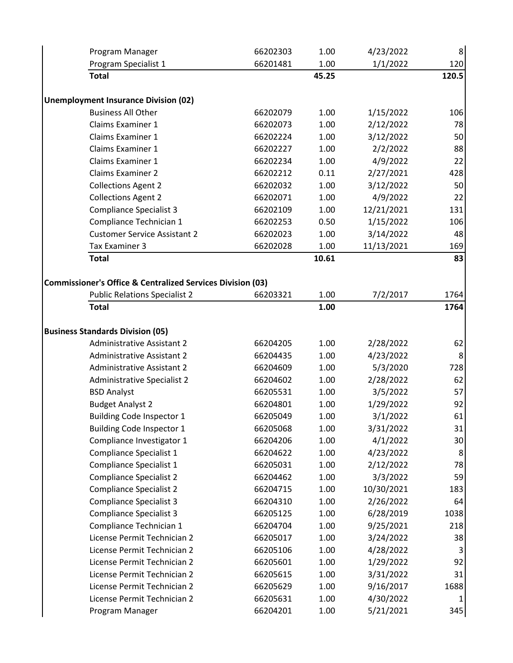| Program Manager                                                              | 66202303 | 1.00  | 4/23/2022  | $\,8\,$ |
|------------------------------------------------------------------------------|----------|-------|------------|---------|
| Program Specialist 1                                                         | 66201481 | 1.00  | 1/1/2022   | 120     |
| <b>Total</b>                                                                 |          | 45.25 |            | 120.5   |
| <b>Unemployment Insurance Division (02)</b>                                  |          |       |            |         |
| <b>Business All Other</b>                                                    | 66202079 | 1.00  | 1/15/2022  | 106     |
| Claims Examiner 1                                                            | 66202073 | 1.00  | 2/12/2022  | 78      |
| <b>Claims Examiner 1</b>                                                     | 66202224 | 1.00  | 3/12/2022  | 50      |
| <b>Claims Examiner 1</b>                                                     | 66202227 | 1.00  | 2/2/2022   | 88      |
| <b>Claims Examiner 1</b>                                                     | 66202234 | 1.00  | 4/9/2022   | 22      |
| <b>Claims Examiner 2</b>                                                     | 66202212 | 0.11  | 2/27/2021  | 428     |
| <b>Collections Agent 2</b>                                                   | 66202032 | 1.00  | 3/12/2022  | 50      |
| <b>Collections Agent 2</b>                                                   | 66202071 | 1.00  | 4/9/2022   | 22      |
| <b>Compliance Specialist 3</b>                                               | 66202109 | 1.00  | 12/21/2021 | 131     |
| Compliance Technician 1                                                      | 66202253 | 0.50  | 1/15/2022  | 106     |
| <b>Customer Service Assistant 2</b>                                          | 66202023 | 1.00  | 3/14/2022  | 48      |
| Tax Examiner 3                                                               | 66202028 | 1.00  | 11/13/2021 | 169     |
| <b>Total</b>                                                                 |          | 10.61 |            | 83      |
| <b>Commissioner's Office &amp; Centralized Services Division (03)</b>        |          |       |            |         |
| <b>Public Relations Specialist 2</b>                                         | 66203321 | 1.00  | 7/2/2017   | 1764    |
| <b>Total</b>                                                                 |          | 1.00  |            | 1764    |
|                                                                              |          |       |            |         |
| <b>Business Standards Division (05)</b><br><b>Administrative Assistant 2</b> | 66204205 | 1.00  | 2/28/2022  | 62      |
| <b>Administrative Assistant 2</b>                                            | 66204435 | 1.00  | 4/23/2022  | 8       |
| <b>Administrative Assistant 2</b>                                            | 66204609 | 1.00  | 5/3/2020   | 728     |
| <b>Administrative Specialist 2</b>                                           | 66204602 | 1.00  | 2/28/2022  | 62      |
| <b>BSD Analyst</b>                                                           | 66205531 | 1.00  | 3/5/2022   | 57      |
| <b>Budget Analyst 2</b>                                                      | 66204801 | 1.00  | 1/29/2022  | 92      |
| <b>Building Code Inspector 1</b>                                             | 66205049 | 1.00  | 3/1/2022   | 61      |
| <b>Building Code Inspector 1</b>                                             | 66205068 | 1.00  | 3/31/2022  | 31      |
| Compliance Investigator 1                                                    | 66204206 | 1.00  | 4/1/2022   | 30      |
| Compliance Specialist 1                                                      | 66204622 | 1.00  | 4/23/2022  | 8       |
| Compliance Specialist 1                                                      | 66205031 | 1.00  | 2/12/2022  | 78      |
| <b>Compliance Specialist 2</b>                                               | 66204462 | 1.00  | 3/3/2022   | 59      |
| <b>Compliance Specialist 2</b>                                               | 66204715 | 1.00  | 10/30/2021 | 183     |
| <b>Compliance Specialist 3</b>                                               | 66204310 | 1.00  | 2/26/2022  | 64      |
| <b>Compliance Specialist 3</b>                                               | 66205125 | 1.00  | 6/28/2019  | 1038    |
| Compliance Technician 1                                                      | 66204704 | 1.00  | 9/25/2021  | 218     |
| License Permit Technician 2                                                  | 66205017 | 1.00  | 3/24/2022  | 38      |
| License Permit Technician 2                                                  | 66205106 | 1.00  | 4/28/2022  | 3       |
| License Permit Technician 2                                                  | 66205601 | 1.00  | 1/29/2022  | 92      |
| License Permit Technician 2                                                  | 66205615 | 1.00  | 3/31/2022  | 31      |
| License Permit Technician 2                                                  | 66205629 | 1.00  | 9/16/2017  | 1688    |
| License Permit Technician 2                                                  | 66205631 | 1.00  | 4/30/2022  |         |
|                                                                              | 66204201 | 1.00  | 5/21/2021  | 1       |
| Program Manager                                                              |          |       |            | 345     |